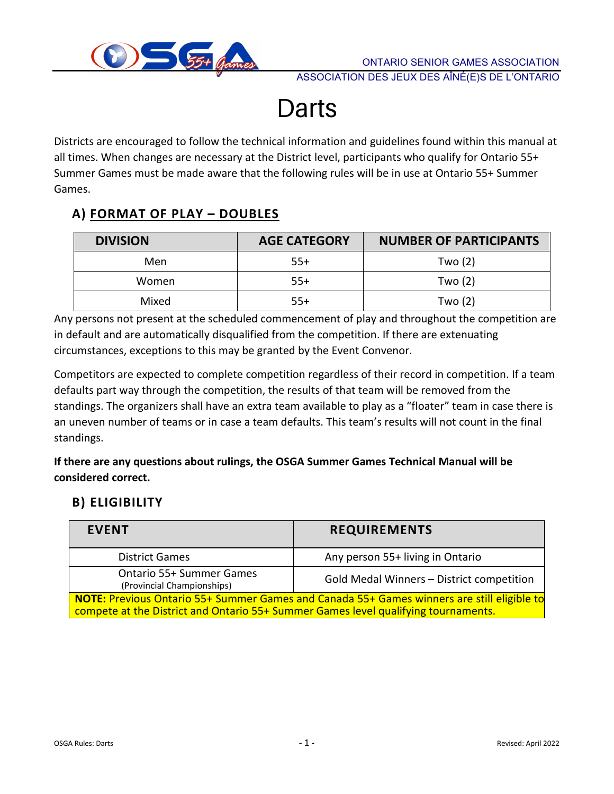

# **Darts**

Districts are encouraged to follow the technical information and guidelines found within this manual at all times. When changes are necessary at the District level, participants who qualify for Ontario 55+ Summer Games must be made aware that the following rules will be in use at Ontario 55+ Summer Games.

## **A) FORMAT OF PLAY – DOUBLES**

| <b>DIVISION</b> | <b>AGE CATEGORY</b> | <b>NUMBER OF PARTICIPANTS</b> |
|-----------------|---------------------|-------------------------------|
| Men             | $55+$               | Two $(2)$                     |
| Women           | $55+$               | Two $(2)$                     |
| Mixed           | $55+$               | Two (2)                       |

Any persons not present at the scheduled commencement of play and throughout the competition are in default and are automatically disqualified from the competition. If there are extenuating circumstances, exceptions to this may be granted by the Event Convenor.

Competitors are expected to complete competition regardless of their record in competition. If a team defaults part way through the competition, the results of that team will be removed from the standings. The organizers shall have an extra team available to play as a "floater" team in case there is an uneven number of teams or in case a team defaults. This team's results will not count in the final standings.

**If there are any questions about rulings, the OSGA Summer Games Technical Manual will be considered correct.**

#### **B) ELIGIBILITY**

| <b>EVENT</b>                                                                                                                                                                     | <b>REQUIREMENTS</b>                       |  |  |  |
|----------------------------------------------------------------------------------------------------------------------------------------------------------------------------------|-------------------------------------------|--|--|--|
| <b>District Games</b>                                                                                                                                                            | Any person 55+ living in Ontario          |  |  |  |
| <b>Ontario 55+ Summer Games</b><br>(Provincial Championships)                                                                                                                    | Gold Medal Winners - District competition |  |  |  |
| NOTE: Previous Ontario 55+ Summer Games and Canada 55+ Games winners are still eligible to<br>compete at the District and Ontario 55+ Summer Games level qualifying tournaments. |                                           |  |  |  |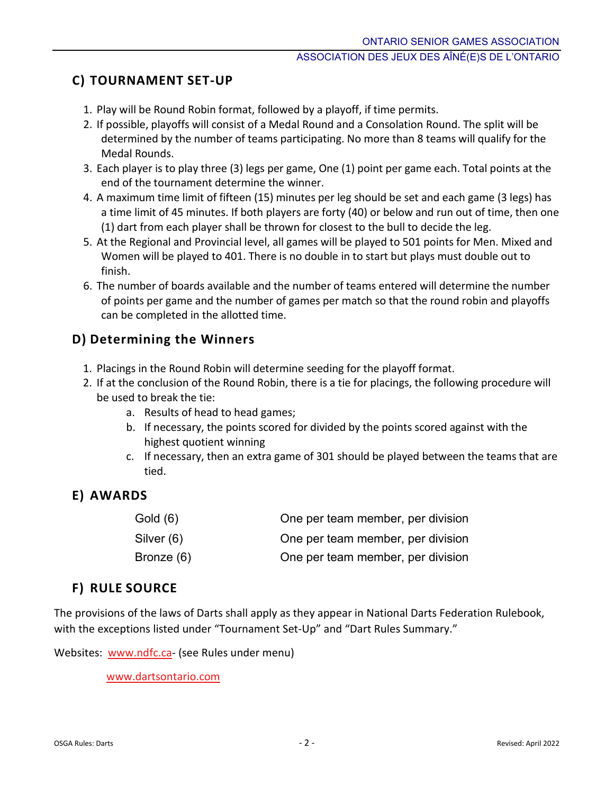## **C) TOURNAMENT SET-UP**

- 1. Play will be Round Robin format, followed by a playoff, if time permits.
- 2. If possible, playoffs will consist of a Medal Round and a Consolation Round. The split will be determined by the number of teams participating. No more than 8 teams will qualify for the Medal Rounds.
- 3. Each player is to play three (3) legs per game, One (1) point per game each. Total points at the end of the tournament determine the winner.
- 4. A maximum time limit of fifteen (15) minutes per leg should be set and each game (3 legs) has a time limit of 45 minutes. If both players are forty (40) or below and run out of time, then one (1) dart from each player shall be thrown for closest to the bull to decide the leg.
- 5. At the Regional and Provincial level, all games will be played to 501 points for Men. Mixed and Women will be played to 401. There is no double in to start but plays must double out to finish.
- 6. The number of boards available and the number of teams entered will determine the number of points per game and the number of games per match so that the round robin and playoffs can be completed in the allotted time.

## **D) Determining the Winners**

- 1. Placings in the Round Robin will determine seeding for the playoff format.
- 2. If at the conclusion of the Round Robin, there is a tie for placings, the following procedure will be used to break the tie:
	- a. Results of head to head games;
	- b. If necessary, the points scored for divided by the points scored against with the highest quotient winning
	- c. If necessary, then an extra game of 301 should be played between the teams that are tied.

## **E) AWARDS**

| Gold (6)   | One per team member, per division |
|------------|-----------------------------------|
| Silver (6) | One per team member, per division |
| Bronze (6) | One per team member, per division |

#### **F) RULE SOURCE**

The provisions of the laws of Darts shall apply as they appear in National Darts Federation Rulebook, with the exceptions listed under "Tournament Set-Up" and "Dart Rules Summary."

Websites: [www.ndfc.ca-](http://www.ndfc.ca/) (see Rules under menu)

[www.dartsontario.com](http://www.dartsontario.com/)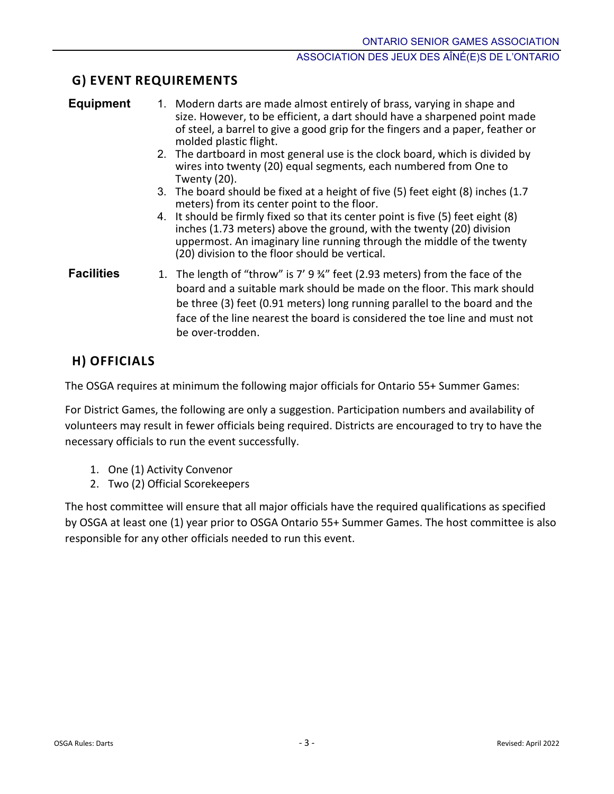## **G) EVENT REQUIREMENTS**

| Equipmen |  |  |  |
|----------|--|--|--|
|          |  |  |  |

- **1.** 1. Modern darts are made almost entirely of brass, varying in shape and size. However, to be efficient, a dart should have a sharpened point made of steel, a barrel to give a good grip for the fingers and a paper, feather or molded plastic flight.
	- 2. The dartboard in most general use is the clock board, which is divided by wires into twenty (20) equal segments, each numbered from One to Twenty (20).
	- 3. The board should be fixed at a height of five (5) feet eight (8) inches (1.7 meters) from its center point to the floor.
	- 4. It should be firmly fixed so that its center point is five (5) feet eight (8) inches (1.73 meters) above the ground, with the twenty (20) division uppermost. An imaginary line running through the middle of the twenty (20) division to the floor should be vertical.
- **Facilities** 1. The length of "throw" is 7' 9 <sup>3</sup>/4" feet (2.93 meters) from the face of the board and a suitable mark should be made on the floor. This mark should be three (3) feet (0.91 meters) long running parallel to the board and the face of the line nearest the board is considered the toe line and must not be over-trodden.

## **H) OFFICIALS**

The OSGA requires at minimum the following major officials for Ontario 55+ Summer Games:

For District Games, the following are only a suggestion. Participation numbers and availability of volunteers may result in fewer officials being required. Districts are encouraged to try to have the necessary officials to run the event successfully.

- 1. One (1) Activity Convenor
- 2. Two (2) Official Scorekeepers

The host committee will ensure that all major officials have the required qualifications as specified by OSGA at least one (1) year prior to OSGA Ontario 55+ Summer Games. The host committee is also responsible for any other officials needed to run this event.